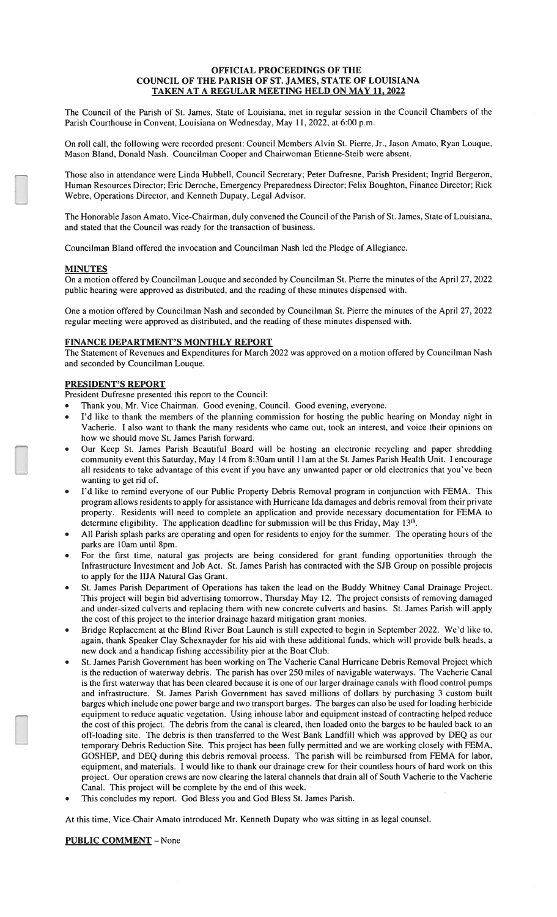## OFFICIAL PROCEEDINGS OF THE COUNCIL OF THE PARISH OF ST. JAMES, STATE OF LOUISIANA TAKEN AT A REGULAR MEETING HELD ON MAY 11, 2022

The Council of the Parish of St. James, State of Louisiana, met in regular session in the Council Chambers of the Parish Courthouse in Convent, Louisiana on Wednesday, May 11, 2022, at 6:00 p.m.

On roll call, the following were recorded present: Council Members Alvin St. Pierre, Jr., Jason Amato, Ryan Louque, Mason Bland, Donald Nash. Councilman Cooper and Chairwoman Etienne-Steib were absent.

Those also in attendance were Linda Hubbell, Council Secretary; Peter Dufresne, Parish President; Ingrid Bergeron, Human Resources Director; Eric Deroche, Emergency Preparedness Director; Felix Boughton, Finance Director; Rick Webre, Operations Director, and Kenneth Dupaty, Legal Advisor.

The Honorable Jason Amato, Vice-Chairman, duly convened the Council of the Parish of St. James, State of Louisiana, and stated that the Council was ready for the transaction of business.

Councilman Bland offered the invocation and Councilman Nash led the Pledge of Allegiance.

## **MINUTES**

On a motion offered by Councilman Louque and seconded by Councilman St. Pierre the minutes of the April 27, 2022 public hearing were approved as distributed, and the reading of these minutes dispensed with.

One a motion offered by Councilman Nash and seconded by Councilman St. Pierre the minutes of the April 27, 2022 regular meeting were approved as distributed, and the reading of these minutes dispensed with.

## FINANCE DEPARTMENT'S MONTHLY REPORT

The Statement of Revenues and Expenditures for March 2022 was approved on a motion offered by Councilman Nash and seconded by Councilman Louque.

## **PRESIDENT'S REPORT**

President Dufresne presented this report to the Council:

- Thank you, Mr. Vice Chairman. Good evening, Council. Good evening, everyone.
- I'd like to thank the members of the planning commission for hosting the public hearing on Monday night in Vacherie. I also want to thank the many residents who came out, took an interest, and voice their opinions on how we should move St. James Parish forward.
- Our Keep St. James Parish Beautiful Board will be hosting an electronic recycling and paper shredding community event this Saturday, May 14 from 8:30am until 11am at the St. James Parish Health Unit. I encourage all residents to take advantage of this event if you have any unwanted paper or old electronics that you've been wanting to get rid of.
- I'd like to remind everyone of our Public Property Debris Removal program in conjunction with FEMA. This program allows residents to apply for assistance with Hurricane Ida damages and debris removal from their private property. Residents will need to complete an application and provide necessary documentation for FEMA to determine eligibility. The application deadline for submission will be this Friday, May  $13<sup>th</sup>$ .
- All Parish splash parks are operating and open for residents to enjoy for the summer. The operating hours of the parks are 10am until 8pm.
- For the first time, natural gas projects are being considered for grant funding opportunities through the Infrastructure Investment and Job Act. St. James Parish has contracted with the SJB Group on possible projects to apply for the IIJA Natural Gas Grant.
- St. James Parish Department of Operations has taken the lead on the Buddy Whitney Canal Drainage Project. This project will begin bid advertising tomorrow, Thursday May 12. The project consists of removing damaged and under-sized culverts and replacing them with new concrete culverts and basins. St. James Parish will apply the cost of this project to the interior drainage hazard mitigation grant monies.
- Bridge Replacement at the Blind River Boat Launch is still expected to begin in September 2022. We'd like to, again, thank Speaker Clay Schexnayder for his aid with these additional funds, which will provide bulk heads, a new dock and a handicap fishing accessibility pier at the Boat Club.
- St. James Parish Government has been working on The Vacherie Canal Hurricane Debris Removal Project which is the reduction of waterway debris. The parish has over 250 miles of navigable waterways. The Vacherie Canal is the first waterway that has been cleared because it is one of our larger drainage canals with flood control pumps and infrastructure. St. James Parish Government has saved millions of dollars by purchasing 3 custom built barges which include one power barge and two transport barges. The barges can also be used for loading herbicide equipment to reduce aquatic vegetation. Using inhouse labor and equipment instead of contracting helped reduce the cost of this project. The debris from the canal is cleared, then loaded onto the barges to be hauled back to an off-loading site. The debris is then transferred to the West Bank Landfill which was approved by DEQ as our temporary Debris Reduction Site. This project has been fully permitted and we are working closely with FEMA, GOSHEP, and DEQ during this debris removal process. The parish will be reimbursed from FEMA for labor, equipment, and materials. I would like to thank our drainage crew for their countless hours of hard work on this project. Our operation crews are now clearing the lateral channels that drain all of South Vacherie to the Vacherie Canal. This project will be complete by the end of this week.
- This concludes my report. God Bless you and God Bless St. James Parish.

At this time, Vice-Chair Amato introduced Mr. Kenneth Dupaty who was sitting in as legal counsel.

**PUBLIC COMMENT - None**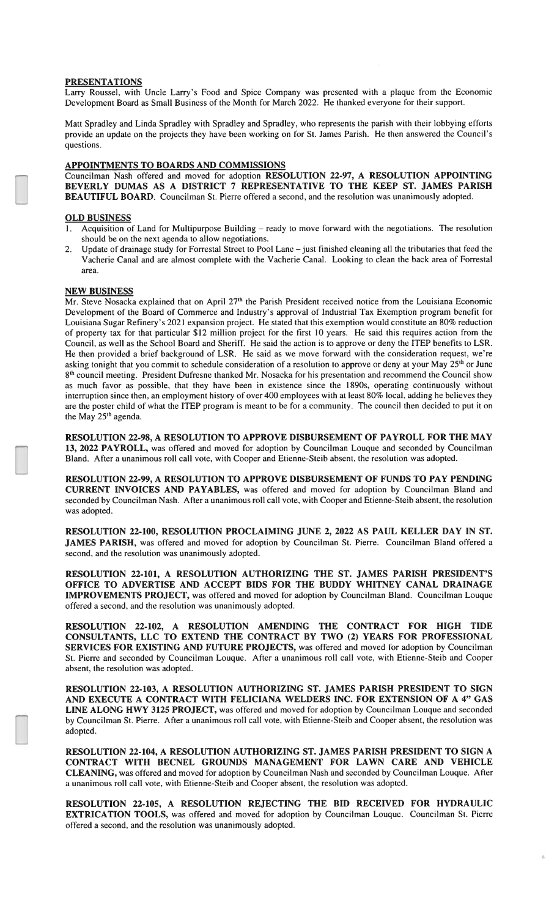#### **PRESENTATIONS**

Larry Roussel, with Uncle Larry's Food and Spice Company was presented with a plaque from the Economic Development Board as Small Business of the Month for March 2022. He thanked everyone for their support.

Matt Spradley and Linda Spradley with Spradley and Spradley, who represents the parish with their lobbying efforts provide an update on the projects they have been working on for St. James Parish. He then answered the Council's questions.

## APPOINTMENTS TO BOARDS AND COMMISSIONS

Councilman Nash offered and moved for adoption RESOLUTION 22-97, A RESOLUTION APPOINTING BEVERLY DUMAS AS A DISTRICT 7 REPRESENTATIVE TO THE KEEP ST. JAMES PARISH BEAUTIFUL BOARD. Councilman St. Pierre offered a second, and the resolution was unanimously adopted.

#### **OLD BUSINESS**

- 1. Acquisition of Land for Multipurpose Building ready to move forward with the negotiations. The resolution should be on the next agenda to allow negotiations.
- Update of drainage study for Forrestal Street to Pool Lane just finished cleaning all the tributaries that feed the Vacherie Canal and are almost complete with the Vacherie Canal. Looking to clean the back area of Forrestal area.

## **NEW BUSINESS**

Mr. Steve Nosacka explained that on April 27<sup>th</sup> the Parish President received notice from the Louisiana Economic Development of the Board of Commerce and Industry's approval of Industrial Tax Exemption program benefit for Louisiana Sugar Refinery's 2021 expansion project. He stated that this exemption would constitute an 80% reduction of property tax for that particular \$12 million project for the first 10 years. He said this requires action from the Council, as well as the School Board and Sheriff. He said the action is to approve or deny the ITEP benefits to LSR. He then provided a brief background of LSR. He said as we move forward with the consideration request, we're asking tonight that you commit to schedule consideration of a resolution to approve or deny at your May 25<sup>th</sup> or June 8<sup>th</sup> council meeting. President Dufresne thanked Mr. Nosacka for his presentation and recommend the Council show as much favor as possible, that they have been in existence since the 1890s, operating continuously without interruption since then, an employment history of over 400 employees with at least 80% local, adding he believes they are the poster child of what the ITEP program is meant to be for a community. The council then decided to put it on the May 25<sup>th</sup> agenda.

RESOLUTION 22-98, A RESOLUTION TO APPROVE DISBURSEMENT OF PAYROLL FOR THE MAY 13, 2022 PAYROLL, was offered and moved for adoption by Councilman Louque and seconded by Councilman Bland. After a unanimous roll call vote, with Cooper and Etienne-Steib absent, the resolution was adopted.

RESOLUTION 22-99, A RESOLUTION TO APPROVE DISBURSEMENT OF FUNDS TO PAY PENDING CURRENT INVOICES AND PAYABLES, was offered and moved for adoption by Councilman Bland and seconded by Councilman Nash. After a unanimous roll call vote, with Cooper and Etienne-Steib absent, the resolution was adopted.

RESOLUTION 22-100, RESOLUTION PROCLAIMING JUNE 2, 2022 AS PAUL KELLER DAY IN ST. JAMES PARISH, was offered and moved for adoption by Councilman St. Pierre. Councilman Bland offered a second, and the resolution was unanimously adopted.

RESOLUTION 22-101, A RESOLUTION AUTHORIZING THE ST. JAMES PARISH PRESIDENT'S OFFICE TO ADVERTISE AND ACCEPT BIDS FOR THE BUDDY WHITNEY CANAL DRAINAGE IMPROVEMENTS PROJECT, was offered and moved for adoption by Councilman Bland. Councilman Louque offered a second, and the resolution was unanimously adopted.

RESOLUTION 22-102, A RESOLUTION AMENDING THE CONTRACT FOR HIGH TIDE CONSULTANTS, LLC TO EXTEND THE CONTRACT BY TWO (2) YEARS FOR PROFESSIONAL SERVICES FOR EXISTING AND FUTURE PROJECTS, was offered and moved for adoption by Councilman St. Pierre and seconded by Councilman Louque. After a unanimous roll call vote, with Etienne-Steib and Cooper absent, the resolution was adopted.

RESOLUTION 22-103, A RESOLUTION AUTHORIZING ST. JAMES PARISH PRESIDENT TO SIGN AND EXECUTE A CONTRACT WITH FELICIANA WELDERS INC. FOR EXTENSION OF A 4" GAS LINE ALONG HWY 3125 PROJECT, was offered and moved for adoption by Councilman Louque and seconded by Councilman St. Pierre. After a unanimous roll call vote, with Etienne-Steib and Cooper absent, the resolution was adopted.

RESOLUTION 22-104, A RESOLUTION AUTHORIZING ST. JAMES PARISH PRESIDENT TO SIGN A CONTRACT WITH BECNEL GROUNDS MANAGEMENT FOR LAWN CARE AND VEHICLE CLEANING, was offered and moved for adoption by Councilman Nash and seconded by Councilman Louque. After a unanimous roll call vote, with Etienne-Steib and Cooper absent, the resolution was adopted.

RESOLUTION 22-105, A RESOLUTION REJECTING THE BID RECEIVED FOR HYDRAULIC EXTRICATION TOOLS, was offered and moved for adoption by Councilman Louque. Councilman St. Pierre offered a second, and the resolution was unanimously adopted.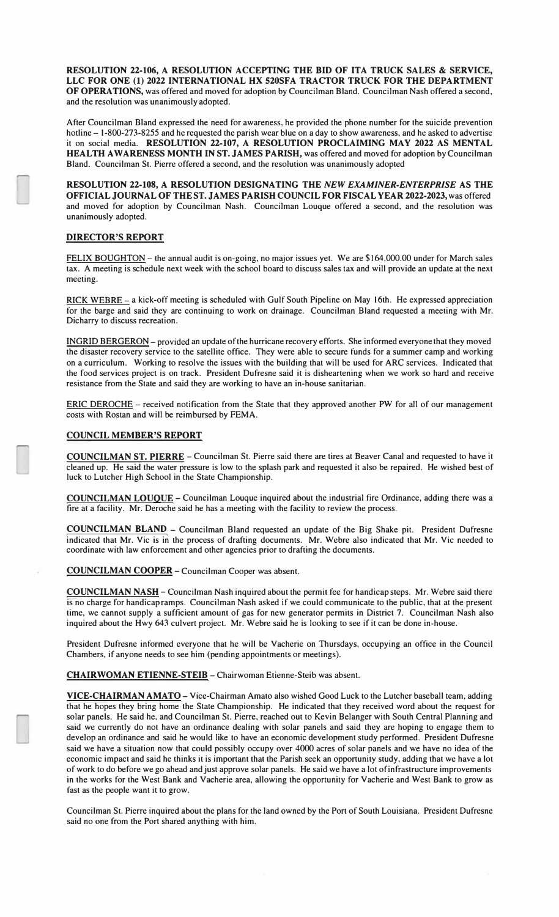**RESOLUTION 22-106, A RESOLUTION ACCEPTING THE BID OF ITA TRUCK SALES** & **SERVICE, LLC FOR ONE (1) 2022 INTERNATIONAL HX 520SFA TRACTOR TRUCK FOR THE DEPARTMENT OF OPERATIONS,** was offered and moved for adoption by Councilman Bland. Councilman Nash offered a second, and the resolution was unanimouslyadopted.

After Councilman Bland expressed the need for awareness, he provided the phone number for the suicide prevention hotline - 1-800-273-8255 and he requested the parish wear blue on a day to show awareness, and he asked to advertise it on social media. **RESOLUTION 22-107, A RESOLUTION PROCLAIMING MAY 2022 AS MENTAL HEALTH AWARENESS MONTH IN ST. JAMES PARISH,** was offered and moved for adoption byCouncilman Bland. Councilman St. Pierre offered a second, and the resolution was unanimously adopted

**RESOLUTION 22-108, A RESOLUTION DESIGNATING THE** *NEW EXAMINER-ENTERPRISE* **AS THE OFFICIAL JOURNAL OF THEST. JAMES PARISHCOUNCIL FOR FISCALYEAR 2022-2023,**was offered and moved for adoption by Councilman Nash. Councilman Louque offered a second, and the resolution was unanimously adopted.

# **DIRECTOR'S REPORT**

FELIX BOUGHTON - the annual audit is on-going, no major issues yet. We are \$164,000.00 under for March sales tax. A meeting is schedule next week with the school board to discuss sales tax and will provide an update at the next meeting.

**RICK** WEBRE- a kick-off meeting is scheduled with Gulf South Pipeline on May 16th. He expressed appreciation for the barge and said they are continuing to work on drainage. Councilman Bland requested a meeting with Mr. Dicharry to discuss recreation.

INGRID BERGERON- provided an update ofthe hurricane recovery efforts. She informed everyonethat they moved the disaster recovery service to the satellite office. They were able to secure funds for a summer camp and working on a curriculum. Working to resolve the issues with the building that will be used for ARC services. Indicated that the food services project is on track. President Dufresne said it is disheartening when we work so hard and receive resistance from the State and said they are working to have an in-house sanitarian.

ERIC DEROCHE- received notification from the State that they approved another PW for all of our management costs with Rostan and will be reimbursed by FEMA.

# **COUNCIL MEMBER'S REPORT**

**COUNCILMAN ST. PIERRE** - Councilman St. Pierre said there are tires at Beaver Canal and requested to have it cleaned up. He said the water pressure is low to the splash park and requested it also be repaired. He wished best of luck to Lutcher High School in the State Championship.

**COUNCILMAN LOUQUE** - Councilman Louque inquired about the industrial fire Ordinance, adding there was a fire at a facility. Mr. Deroche said he has a meeting with the facility to review the process.

**COUNCILMAN BLAND** - Councilman Bland requested an update of the Big Shake pit. President Dufresne indicated that Mr. Vic is in the process of drafting documents. Mr. Webre also indicated that Mr. Vic needed to coordinate with law enforcement and other agencies prior to drafting the documents.

**COUNCILMAN COOPER** - Councilman Cooper was absent.

**COUNCILMAN NASH** - Councilman Nash inquired about the permit fee for handicap steps. Mr. Webre said there is no charge for handicapramps. Councilman Nash asked if we could communicate to the public, that at the present time, we cannot supply a sufficient amount of gas for new generator permits in District 7. Councilman Nash also inquired about the Hwy 643 culvert project. Mr. Webre said he is looking to see if it can be done in-house.

President Dufresne informed everyone that he will be Vacherie on Thursdays, occupying an office in the Council Chambers, if anyone needs to see him (pending appointments or meetings).

**CHAIRWOMAN ETIENNE-STEIB** - Chairwoman Etienne-Steib was absent.

**VICE-CHAIRMAN AMATO** - Vice-Chairman Amato also wished Good Luck to the Lutcher baseball team, adding that he hopes they bring home the State Championship. He indicated that they received word about the request for solar panels. He said he, and Councilman St. Pierre, reached out to Kevin Belanger with South Central Planning and said we currently do not have an ordinance dealing with solar panels and said they are hoping to engage them to develop an ordinance and said he would like to have an economic development study performed. President Dufresne said we have a situation now that could possibly occupy over 4000 acres of solar panels and we have no idea of the economic impact and said he thinks it is important that the Parish seek an opportunity study, adding that we have a lot of work to do before we go ahead andjust approve solar panels. He said we have a lot ofinfrastructure improvements in the works for the West Bank and Vacherie area, allowing the opportunity for Vacherie and West Bank to grow as fast as the people want it to grow.

Councilman St. Pierre inquired about the plans for the land owned by the Port of South Louisiana. President Dufresne said no one from the Port shared anything with him.